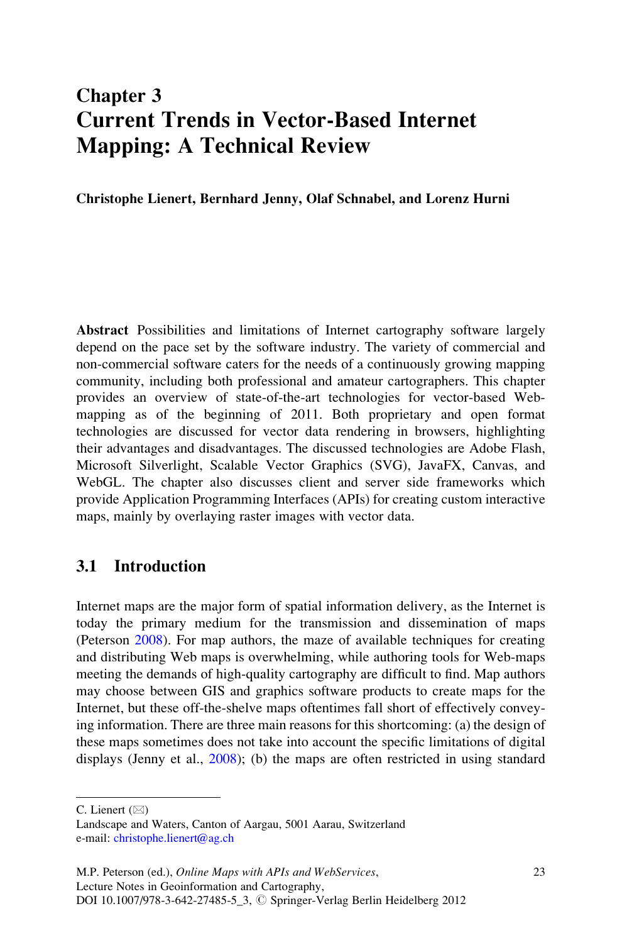# Chapter 3 Current Trends in Vector-Based Internet Mapping: A Technical Review

Christophe Lienert, Bernhard Jenny, Olaf Schnabel, and Lorenz Hurni

Abstract Possibilities and limitations of Internet cartography software largely depend on the pace set by the software industry. The variety of commercial and non-commercial software caters for the needs of a continuously growing mapping community, including both professional and amateur cartographers. This chapter provides an overview of state-of-the-art technologies for vector-based Webmapping as of the beginning of 2011. Both proprietary and open format technologies are discussed for vector data rendering in browsers, highlighting their advantages and disadvantages. The discussed technologies are Adobe Flash, Microsoft Silverlight, Scalable Vector Graphics (SVG), JavaFX, Canvas, and WebGL. The chapter also discusses client and server side frameworks which provide Application Programming Interfaces (APIs) for creating custom interactive maps, mainly by overlaying raster images with vector data.

# 3.1 Introduction

Internet maps are the major form of spatial information delivery, as the Internet is today the primary medium for the transmission and dissemination of maps (Peterson [2008](#page-13-0)). For map authors, the maze of available techniques for creating and distributing Web maps is overwhelming, while authoring tools for Web-maps meeting the demands of high-quality cartography are difficult to find. Map authors may choose between GIS and graphics software products to create maps for the Internet, but these off-the-shelve maps oftentimes fall short of effectively conveying information. There are three main reasons for this shortcoming: (a) the design of these maps sometimes does not take into account the specific limitations of digital displays (Jenny et al., [2008\)](#page-12-0); (b) the maps are often restricted in using standard

C. Lienert  $(\boxtimes)$ 

Landscape and Waters, Canton of Aargau, 5001 Aarau, Switzerland e-mail: [christophe.lienert@ag.ch](mailto:christophe.lienert@ag.ch)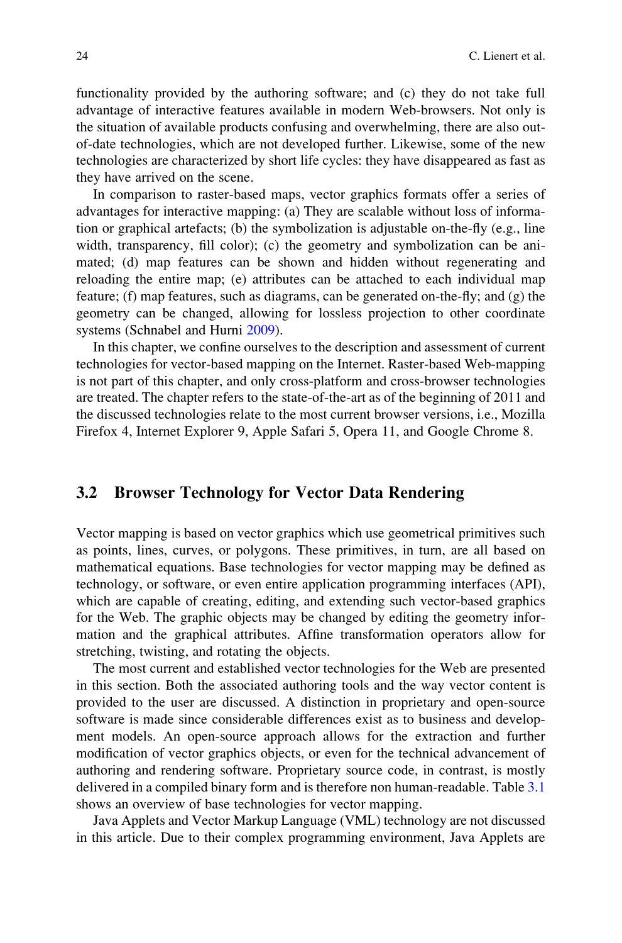functionality provided by the authoring software; and (c) they do not take full advantage of interactive features available in modern Web-browsers. Not only is the situation of available products confusing and overwhelming, there are also outof-date technologies, which are not developed further. Likewise, some of the new technologies are characterized by short life cycles: they have disappeared as fast as they have arrived on the scene.

In comparison to raster-based maps, vector graphics formats offer a series of advantages for interactive mapping: (a) They are scalable without loss of information or graphical artefacts; (b) the symbolization is adjustable on-the-fly (e.g., line width, transparency, fill color); (c) the geometry and symbolization can be animated; (d) map features can be shown and hidden without regenerating and reloading the entire map; (e) attributes can be attached to each individual map feature; (f) map features, such as diagrams, can be generated on-the-fly; and (g) the geometry can be changed, allowing for lossless projection to other coordinate systems (Schnabel and Hurni [2009](#page-13-0)).

In this chapter, we confine ourselves to the description and assessment of current technologies for vector-based mapping on the Internet. Raster-based Web-mapping is not part of this chapter, and only cross-platform and cross-browser technologies are treated. The chapter refers to the state-of-the-art as of the beginning of 2011 and the discussed technologies relate to the most current browser versions, i.e., Mozilla Firefox 4, Internet Explorer 9, Apple Safari 5, Opera 11, and Google Chrome 8.

## 3.2 Browser Technology for Vector Data Rendering

Vector mapping is based on vector graphics which use geometrical primitives such as points, lines, curves, or polygons. These primitives, in turn, are all based on mathematical equations. Base technologies for vector mapping may be defined as technology, or software, or even entire application programming interfaces (API), which are capable of creating, editing, and extending such vector-based graphics for the Web. The graphic objects may be changed by editing the geometry information and the graphical attributes. Affine transformation operators allow for stretching, twisting, and rotating the objects.

The most current and established vector technologies for the Web are presented in this section. Both the associated authoring tools and the way vector content is provided to the user are discussed. A distinction in proprietary and open-source software is made since considerable differences exist as to business and development models. An open-source approach allows for the extraction and further modification of vector graphics objects, or even for the technical advancement of authoring and rendering software. Proprietary source code, in contrast, is mostly delivered in a compiled binary form and is therefore non human-readable. Table [3.1](#page-2-0) shows an overview of base technologies for vector mapping.

Java Applets and Vector Markup Language (VML) technology are not discussed in this article. Due to their complex programming environment, Java Applets are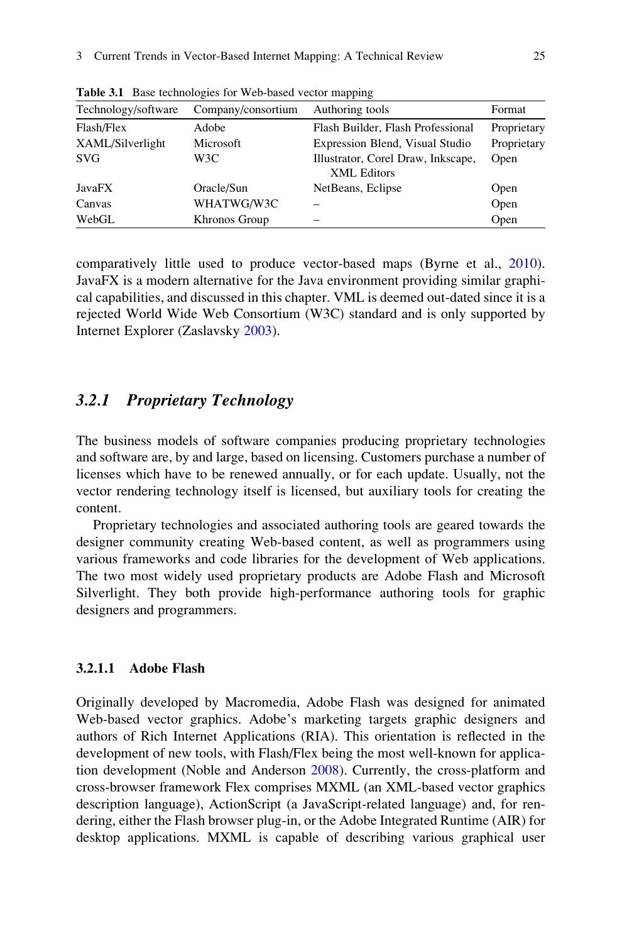| Technology/software | Company/consortium | Authoring tools                                          | Format      |
|---------------------|--------------------|----------------------------------------------------------|-------------|
| Flash/Flex          | Adobe              | Flash Builder, Flash Professional                        | Proprietary |
| XAML/Silverlight    | Microsoft          | Expression Blend, Visual Studio                          | Proprietary |
| <b>SVG</b>          | W3C                | Illustrator, Corel Draw, Inkscape,<br><b>XML</b> Editors | Open        |
| JavaFX              | Oracle/Sun         | NetBeans, Eclipse                                        | Open        |
| Canvas              | WHATWG/W3C         |                                                          | Open        |
| WebGL               | Khronos Group      | -                                                        | Open        |

<span id="page-2-0"></span>Table 3.1 Base technologies for Web-based vector mapping

comparatively little used to produce vector-based maps (Byrne et al., [2010\)](#page-12-0). JavaFX is a modern alternative for the Java environment providing similar graphical capabilities, and discussed in this chapter. VML is deemed out-dated since it is a rejected World Wide Web Consortium (W3C) standard and is only supported by Internet Explorer (Zaslavsky [2003](#page-13-0)).

# 3.2.1 Proprietary Technology

The business models of software companies producing proprietary technologies and software are, by and large, based on licensing. Customers purchase a number of licenses which have to be renewed annually, or for each update. Usually, not the vector rendering technology itself is licensed, but auxiliary tools for creating the content.

Proprietary technologies and associated authoring tools are geared towards the designer community creating Web-based content, as well as programmers using various frameworks and code libraries for the development of Web applications. The two most widely used proprietary products are Adobe Flash and Microsoft Silverlight. They both provide high-performance authoring tools for graphic designers and programmers.

#### 3.2.1.1 Adobe Flash

Originally developed by Macromedia, Adobe Flash was designed for animated Web-based vector graphics. Adobe's marketing targets graphic designers and authors of Rich Internet Applications (RIA). This orientation is reflected in the development of new tools, with Flash/Flex being the most well-known for application development (Noble and Anderson [2008\)](#page-13-0). Currently, the cross-platform and cross-browser framework Flex comprises MXML (an XML-based vector graphics description language), ActionScript (a JavaScript-related language) and, for rendering, either the Flash browser plug-in, or the Adobe Integrated Runtime (AIR) for desktop applications. MXML is capable of describing various graphical user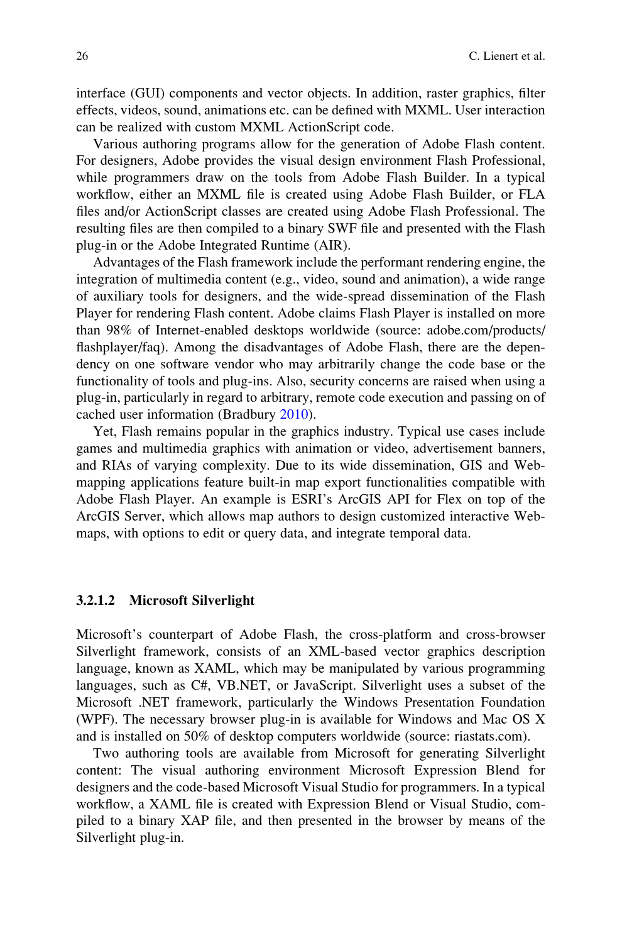interface (GUI) components and vector objects. In addition, raster graphics, filter effects, videos, sound, animations etc. can be defined with MXML. User interaction can be realized with custom MXML ActionScript code.

Various authoring programs allow for the generation of Adobe Flash content. For designers, Adobe provides the visual design environment Flash Professional, while programmers draw on the tools from Adobe Flash Builder. In a typical workflow, either an MXML file is created using Adobe Flash Builder, or FLA files and/or ActionScript classes are created using Adobe Flash Professional. The resulting files are then compiled to a binary SWF file and presented with the Flash plug-in or the Adobe Integrated Runtime (AIR).

Advantages of the Flash framework include the performant rendering engine, the integration of multimedia content (e.g., video, sound and animation), a wide range of auxiliary tools for designers, and the wide-spread dissemination of the Flash Player for rendering Flash content. Adobe claims Flash Player is installed on more than 98% of Internet-enabled desktops worldwide (source: adobe.com/products/ flashplayer/faq). Among the disadvantages of Adobe Flash, there are the dependency on one software vendor who may arbitrarily change the code base or the functionality of tools and plug-ins. Also, security concerns are raised when using a plug-in, particularly in regard to arbitrary, remote code execution and passing on of cached user information (Bradbury [2010\)](#page-12-0).

Yet, Flash remains popular in the graphics industry. Typical use cases include games and multimedia graphics with animation or video, advertisement banners, and RIAs of varying complexity. Due to its wide dissemination, GIS and Webmapping applications feature built-in map export functionalities compatible with Adobe Flash Player. An example is ESRI's ArcGIS API for Flex on top of the ArcGIS Server, which allows map authors to design customized interactive Webmaps, with options to edit or query data, and integrate temporal data.

#### 3.2.1.2 Microsoft Silverlight

Microsoft's counterpart of Adobe Flash, the cross-platform and cross-browser Silverlight framework, consists of an XML-based vector graphics description language, known as XAML, which may be manipulated by various programming languages, such as C#, VB.NET, or JavaScript. Silverlight uses a subset of the Microsoft .NET framework, particularly the Windows Presentation Foundation (WPF). The necessary browser plug-in is available for Windows and Mac OS X and is installed on 50% of desktop computers worldwide (source: riastats.com).

Two authoring tools are available from Microsoft for generating Silverlight content: The visual authoring environment Microsoft Expression Blend for designers and the code-based Microsoft Visual Studio for programmers. In a typical workflow, a XAML file is created with Expression Blend or Visual Studio, compiled to a binary XAP file, and then presented in the browser by means of the Silverlight plug-in.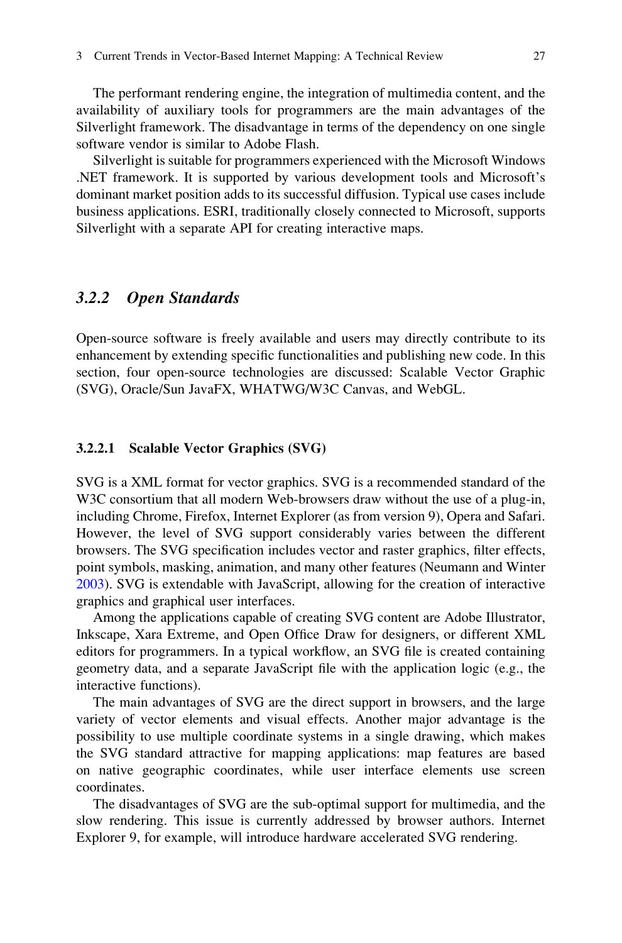The performant rendering engine, the integration of multimedia content, and the availability of auxiliary tools for programmers are the main advantages of the Silverlight framework. The disadvantage in terms of the dependency on one single software vendor is similar to Adobe Flash.

Silverlight is suitable for programmers experienced with the Microsoft Windows .NET framework. It is supported by various development tools and Microsoft's dominant market position adds to its successful diffusion. Typical use cases include business applications. ESRI, traditionally closely connected to Microsoft, supports Silverlight with a separate API for creating interactive maps.

# 3.2.2 Open Standards

Open-source software is freely available and users may directly contribute to its enhancement by extending specific functionalities and publishing new code. In this section, four open-source technologies are discussed: Scalable Vector Graphic (SVG), Oracle/Sun JavaFX, WHATWG/W3C Canvas, and WebGL.

#### 3.2.2.1 Scalable Vector Graphics (SVG)

SVG is a XML format for vector graphics. SVG is a recommended standard of the W3C consortium that all modern Web-browsers draw without the use of a plug-in, including Chrome, Firefox, Internet Explorer (as from version 9), Opera and Safari. However, the level of SVG support considerably varies between the different browsers. The SVG specification includes vector and raster graphics, filter effects, point symbols, masking, animation, and many other features (Neumann and Winter [2003\)](#page-13-0). SVG is extendable with JavaScript, allowing for the creation of interactive graphics and graphical user interfaces.

Among the applications capable of creating SVG content are Adobe Illustrator, Inkscape, Xara Extreme, and Open Office Draw for designers, or different XML editors for programmers. In a typical workflow, an SVG file is created containing geometry data, and a separate JavaScript file with the application logic (e.g., the interactive functions).

The main advantages of SVG are the direct support in browsers, and the large variety of vector elements and visual effects. Another major advantage is the possibility to use multiple coordinate systems in a single drawing, which makes the SVG standard attractive for mapping applications: map features are based on native geographic coordinates, while user interface elements use screen coordinates.

The disadvantages of SVG are the sub-optimal support for multimedia, and the slow rendering. This issue is currently addressed by browser authors. Internet Explorer 9, for example, will introduce hardware accelerated SVG rendering.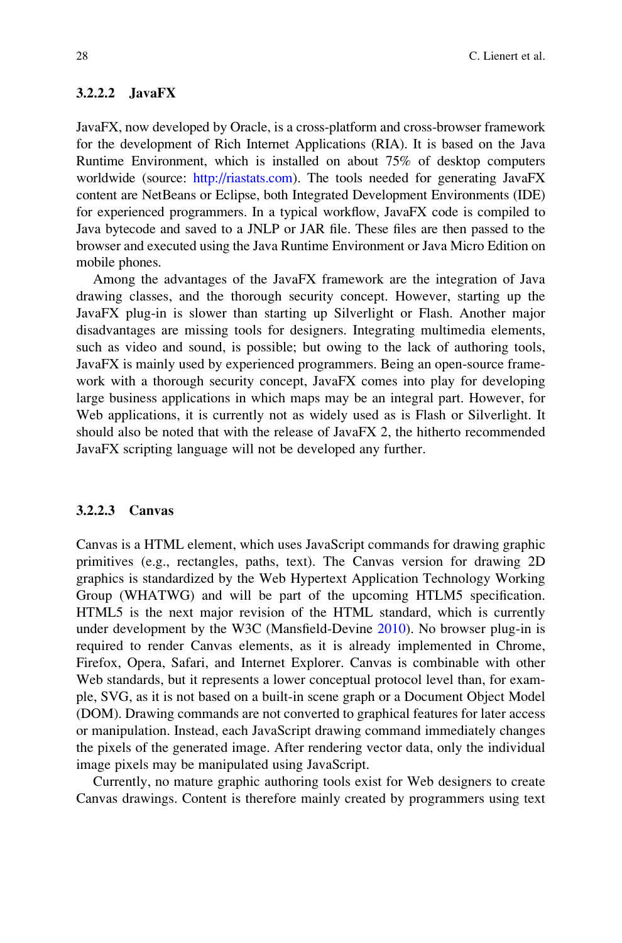### 3.2.2.2 JavaFX

JavaFX, now developed by Oracle, is a cross-platform and cross-browser framework for the development of Rich Internet Applications (RIA). It is based on the Java Runtime Environment, which is installed on about 75% of desktop computers worldwide (source: [http://riastats.com\)](http://riastats.com). The tools needed for generating JavaFX content are NetBeans or Eclipse, both Integrated Development Environments (IDE) for experienced programmers. In a typical workflow, JavaFX code is compiled to Java bytecode and saved to a JNLP or JAR file. These files are then passed to the browser and executed using the Java Runtime Environment or Java Micro Edition on mobile phones.

Among the advantages of the JavaFX framework are the integration of Java drawing classes, and the thorough security concept. However, starting up the JavaFX plug-in is slower than starting up Silverlight or Flash. Another major disadvantages are missing tools for designers. Integrating multimedia elements, such as video and sound, is possible; but owing to the lack of authoring tools, JavaFX is mainly used by experienced programmers. Being an open-source framework with a thorough security concept, JavaFX comes into play for developing large business applications in which maps may be an integral part. However, for Web applications, it is currently not as widely used as is Flash or Silverlight. It should also be noted that with the release of JavaFX 2, the hitherto recommended JavaFX scripting language will not be developed any further.

#### 3.2.2.3 Canvas

Canvas is a HTML element, which uses JavaScript commands for drawing graphic primitives (e.g., rectangles, paths, text). The Canvas version for drawing 2D graphics is standardized by the Web Hypertext Application Technology Working Group (WHATWG) and will be part of the upcoming HTLM5 specification. HTML5 is the next major revision of the HTML standard, which is currently under development by the W3C (Mansfield-Devine [2010\)](#page-13-0). No browser plug-in is required to render Canvas elements, as it is already implemented in Chrome, Firefox, Opera, Safari, and Internet Explorer. Canvas is combinable with other Web standards, but it represents a lower conceptual protocol level than, for example, SVG, as it is not based on a built-in scene graph or a Document Object Model (DOM). Drawing commands are not converted to graphical features for later access or manipulation. Instead, each JavaScript drawing command immediately changes the pixels of the generated image. After rendering vector data, only the individual image pixels may be manipulated using JavaScript.

Currently, no mature graphic authoring tools exist for Web designers to create Canvas drawings. Content is therefore mainly created by programmers using text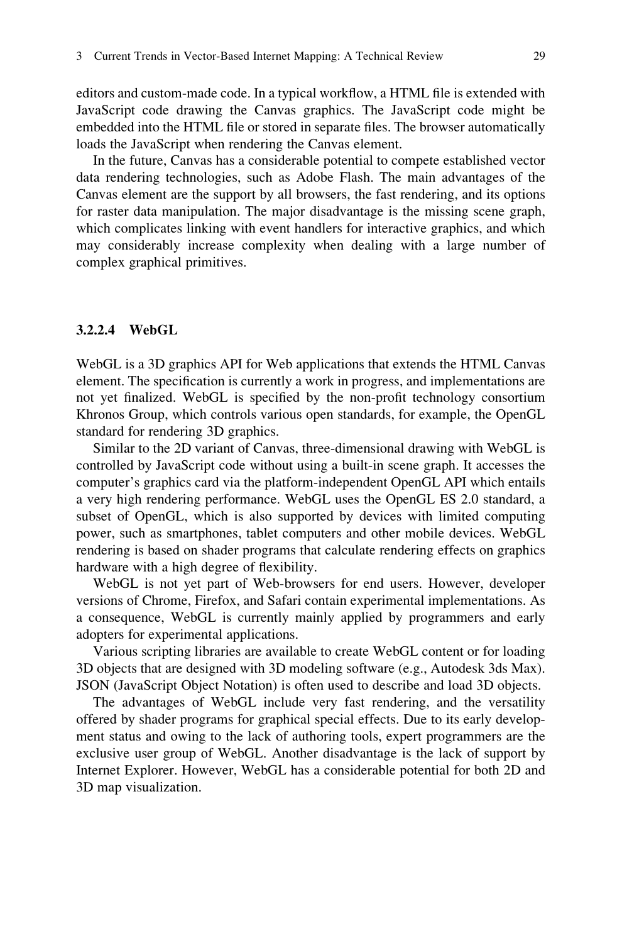editors and custom-made code. In a typical workflow, a HTML file is extended with JavaScript code drawing the Canvas graphics. The JavaScript code might be embedded into the HTML file or stored in separate files. The browser automatically loads the JavaScript when rendering the Canvas element.

In the future, Canvas has a considerable potential to compete established vector data rendering technologies, such as Adobe Flash. The main advantages of the Canvas element are the support by all browsers, the fast rendering, and its options for raster data manipulation. The major disadvantage is the missing scene graph, which complicates linking with event handlers for interactive graphics, and which may considerably increase complexity when dealing with a large number of complex graphical primitives.

#### 3.2.2.4 WebGL

WebGL is a 3D graphics API for Web applications that extends the HTML Canvas element. The specification is currently a work in progress, and implementations are not yet finalized. WebGL is specified by the non-profit technology consortium Khronos Group, which controls various open standards, for example, the OpenGL standard for rendering 3D graphics.

Similar to the 2D variant of Canvas, three-dimensional drawing with WebGL is controlled by JavaScript code without using a built-in scene graph. It accesses the computer's graphics card via the platform-independent OpenGL API which entails a very high rendering performance. WebGL uses the OpenGL ES 2.0 standard, a subset of OpenGL, which is also supported by devices with limited computing power, such as smartphones, tablet computers and other mobile devices. WebGL rendering is based on shader programs that calculate rendering effects on graphics hardware with a high degree of flexibility.

WebGL is not yet part of Web-browsers for end users. However, developer versions of Chrome, Firefox, and Safari contain experimental implementations. As a consequence, WebGL is currently mainly applied by programmers and early adopters for experimental applications.

Various scripting libraries are available to create WebGL content or for loading 3D objects that are designed with 3D modeling software (e.g., Autodesk 3ds Max). JSON (JavaScript Object Notation) is often used to describe and load 3D objects.

The advantages of WebGL include very fast rendering, and the versatility offered by shader programs for graphical special effects. Due to its early development status and owing to the lack of authoring tools, expert programmers are the exclusive user group of WebGL. Another disadvantage is the lack of support by Internet Explorer. However, WebGL has a considerable potential for both 2D and 3D map visualization.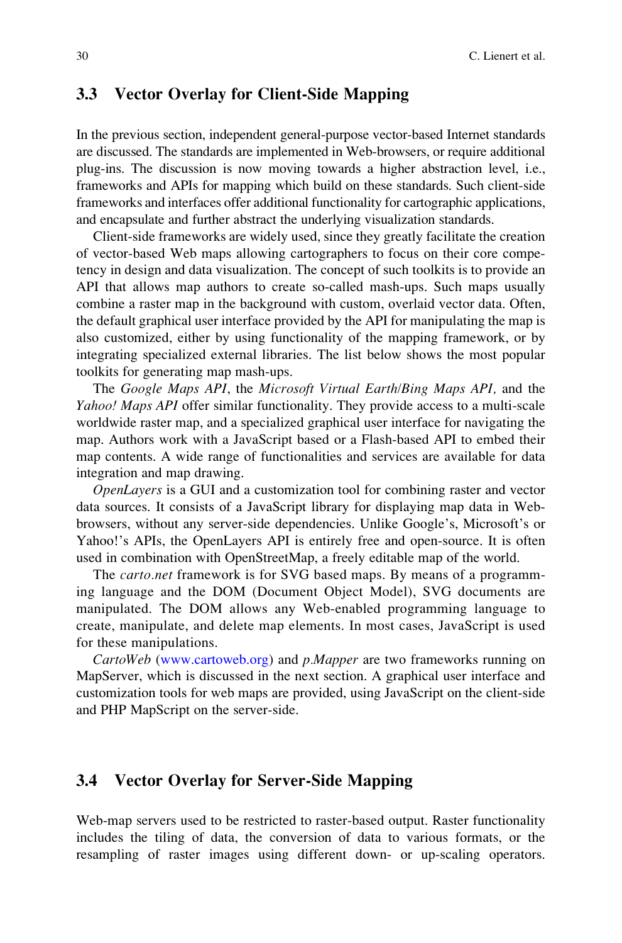# 3.3 Vector Overlay for Client-Side Mapping

In the previous section, independent general-purpose vector-based Internet standards are discussed. The standards are implemented in Web-browsers, or require additional plug-ins. The discussion is now moving towards a higher abstraction level, i.e., frameworks and APIs for mapping which build on these standards. Such client-side frameworks and interfaces offer additional functionality for cartographic applications, and encapsulate and further abstract the underlying visualization standards.

Client-side frameworks are widely used, since they greatly facilitate the creation of vector-based Web maps allowing cartographers to focus on their core competency in design and data visualization. The concept of such toolkits is to provide an API that allows map authors to create so-called mash-ups. Such maps usually combine a raster map in the background with custom, overlaid vector data. Often, the default graphical user interface provided by the API for manipulating the map is also customized, either by using functionality of the mapping framework, or by integrating specialized external libraries. The list below shows the most popular toolkits for generating map mash-ups.

The Google Maps API, the Microsoft Virtual Earth/Bing Maps API, and the Yahoo! Maps API offer similar functionality. They provide access to a multi-scale worldwide raster map, and a specialized graphical user interface for navigating the map. Authors work with a JavaScript based or a Flash-based API to embed their map contents. A wide range of functionalities and services are available for data integration and map drawing.

OpenLayers is a GUI and a customization tool for combining raster and vector data sources. It consists of a JavaScript library for displaying map data in Webbrowsers, without any server-side dependencies. Unlike Google's, Microsoft's or Yahoo!'s APIs, the OpenLayers API is entirely free and open-source. It is often used in combination with OpenStreetMap, a freely editable map of the world.

The *carto.net* framework is for SVG based maps. By means of a programming language and the DOM (Document Object Model), SVG documents are manipulated. The DOM allows any Web-enabled programming language to create, manipulate, and delete map elements. In most cases, JavaScript is used for these manipulations.

CartoWeb [\(www.cartoweb.org\)](http://www.cartoweb.org) and p.Mapper are two frameworks running on MapServer, which is discussed in the next section. A graphical user interface and customization tools for web maps are provided, using JavaScript on the client-side and PHP MapScript on the server-side.

### 3.4 Vector Overlay for Server-Side Mapping

Web-map servers used to be restricted to raster-based output. Raster functionality includes the tiling of data, the conversion of data to various formats, or the resampling of raster images using different down- or up-scaling operators.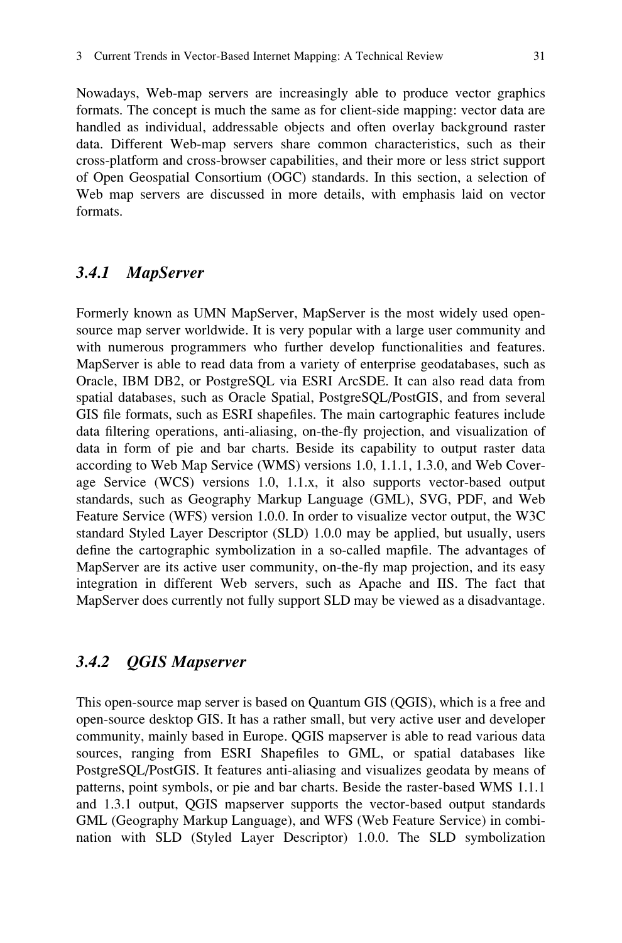Nowadays, Web-map servers are increasingly able to produce vector graphics formats. The concept is much the same as for client-side mapping: vector data are handled as individual, addressable objects and often overlay background raster data. Different Web-map servers share common characteristics, such as their cross-platform and cross-browser capabilities, and their more or less strict support of Open Geospatial Consortium (OGC) standards. In this section, a selection of Web map servers are discussed in more details, with emphasis laid on vector formats.

# 3.4.1 MapServer

Formerly known as UMN MapServer, MapServer is the most widely used opensource map server worldwide. It is very popular with a large user community and with numerous programmers who further develop functionalities and features. MapServer is able to read data from a variety of enterprise geodatabases, such as Oracle, IBM DB2, or PostgreSQL via ESRI ArcSDE. It can also read data from spatial databases, such as Oracle Spatial, PostgreSQL/PostGIS, and from several GIS file formats, such as ESRI shapefiles. The main cartographic features include data filtering operations, anti-aliasing, on-the-fly projection, and visualization of data in form of pie and bar charts. Beside its capability to output raster data according to Web Map Service (WMS) versions 1.0, 1.1.1, 1.3.0, and Web Coverage Service (WCS) versions 1.0, 1.1.x, it also supports vector-based output standards, such as Geography Markup Language (GML), SVG, PDF, and Web Feature Service (WFS) version 1.0.0. In order to visualize vector output, the W3C standard Styled Layer Descriptor (SLD) 1.0.0 may be applied, but usually, users define the cartographic symbolization in a so-called mapfile. The advantages of MapServer are its active user community, on-the-fly map projection, and its easy integration in different Web servers, such as Apache and IIS. The fact that MapServer does currently not fully support SLD may be viewed as a disadvantage.

# 3.4.2 QGIS Mapserver

This open-source map server is based on Quantum GIS (QGIS), which is a free and open-source desktop GIS. It has a rather small, but very active user and developer community, mainly based in Europe. QGIS mapserver is able to read various data sources, ranging from ESRI Shapefiles to GML, or spatial databases like PostgreSQL/PostGIS. It features anti-aliasing and visualizes geodata by means of patterns, point symbols, or pie and bar charts. Beside the raster-based WMS 1.1.1 and 1.3.1 output, QGIS mapserver supports the vector-based output standards GML (Geography Markup Language), and WFS (Web Feature Service) in combination with SLD (Styled Layer Descriptor) 1.0.0. The SLD symbolization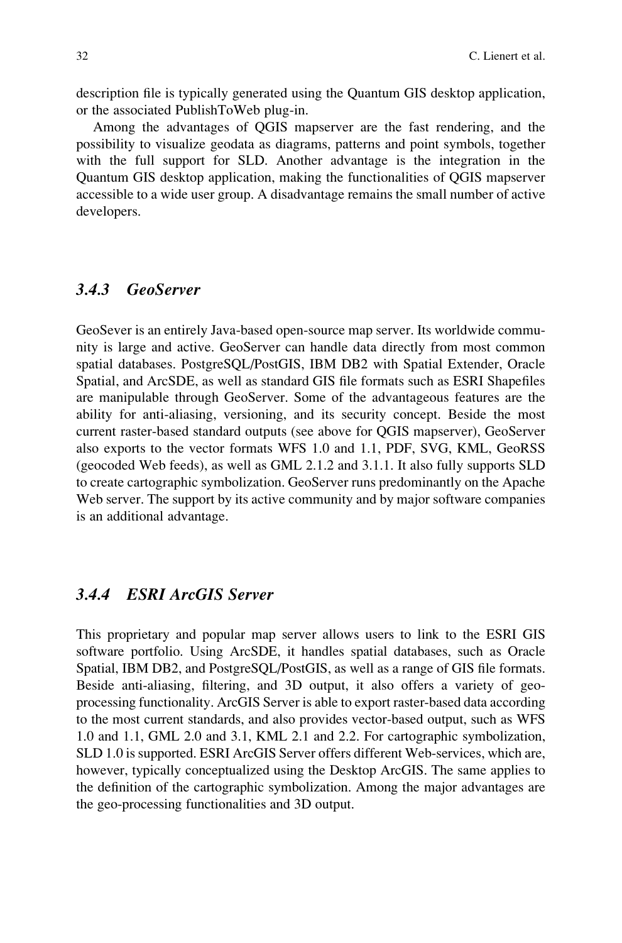description file is typically generated using the Quantum GIS desktop application, or the associated PublishToWeb plug-in.

Among the advantages of QGIS mapserver are the fast rendering, and the possibility to visualize geodata as diagrams, patterns and point symbols, together with the full support for SLD. Another advantage is the integration in the Quantum GIS desktop application, making the functionalities of QGIS mapserver accessible to a wide user group. A disadvantage remains the small number of active developers.

# 3.4.3 GeoServer

GeoSever is an entirely Java-based open-source map server. Its worldwide community is large and active. GeoServer can handle data directly from most common spatial databases. PostgreSQL/PostGIS, IBM DB2 with Spatial Extender, Oracle Spatial, and ArcSDE, as well as standard GIS file formats such as ESRI Shapefiles are manipulable through GeoServer. Some of the advantageous features are the ability for anti-aliasing, versioning, and its security concept. Beside the most current raster-based standard outputs (see above for QGIS mapserver), GeoServer also exports to the vector formats WFS 1.0 and 1.1, PDF, SVG, KML, GeoRSS (geocoded Web feeds), as well as GML 2.1.2 and 3.1.1. It also fully supports SLD to create cartographic symbolization. GeoServer runs predominantly on the Apache Web server. The support by its active community and by major software companies is an additional advantage.

# 3.4.4 ESRI ArcGIS Server

This proprietary and popular map server allows users to link to the ESRI GIS software portfolio. Using ArcSDE, it handles spatial databases, such as Oracle Spatial, IBM DB2, and PostgreSQL/PostGIS, as well as a range of GIS file formats. Beside anti-aliasing, filtering, and 3D output, it also offers a variety of geoprocessing functionality. ArcGIS Server is able to export raster-based data according to the most current standards, and also provides vector-based output, such as WFS 1.0 and 1.1, GML 2.0 and 3.1, KML 2.1 and 2.2. For cartographic symbolization, SLD 1.0 is supported. ESRI ArcGIS Server offers different Web-services, which are, however, typically conceptualized using the Desktop ArcGIS. The same applies to the definition of the cartographic symbolization. Among the major advantages are the geo-processing functionalities and 3D output.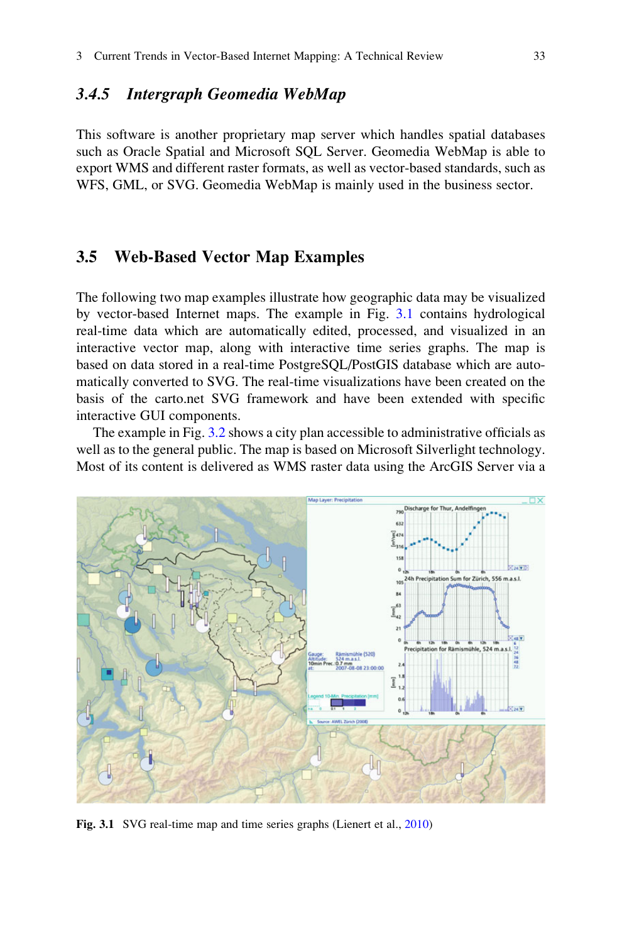# 3.4.5 Intergraph Geomedia WebMap

This software is another proprietary map server which handles spatial databases such as Oracle Spatial and Microsoft SQL Server. Geomedia WebMap is able to export WMS and different raster formats, as well as vector-based standards, such as WFS, GML, or SVG. Geomedia WebMap is mainly used in the business sector.

# 3.5 Web-Based Vector Map Examples

The following two map examples illustrate how geographic data may be visualized by vector-based Internet maps. The example in Fig. 3.1 contains hydrological real-time data which are automatically edited, processed, and visualized in an interactive vector map, along with interactive time series graphs. The map is based on data stored in a real-time PostgreSQL/PostGIS database which are automatically converted to SVG. The real-time visualizations have been created on the basis of the carto.net SVG framework and have been extended with specific interactive GUI components.

The example in Fig. [3.2](#page-11-0) shows a city plan accessible to administrative officials as well as to the general public. The map is based on Microsoft Silverlight technology. Most of its content is delivered as WMS raster data using the ArcGIS Server via a



Fig. 3.1 SVG real-time map and time series graphs (Lienert et al., [2010](#page-13-0))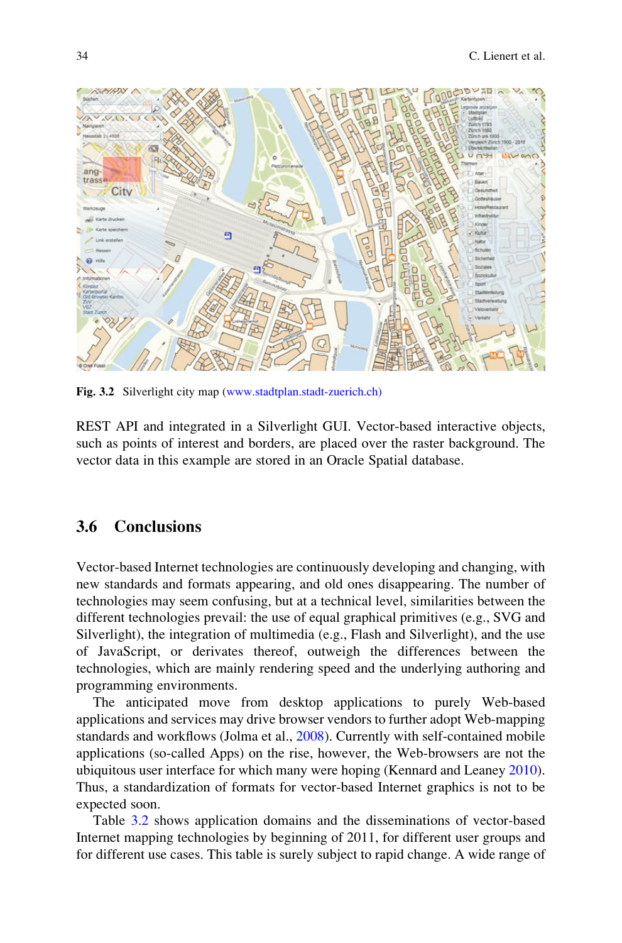<span id="page-11-0"></span>

Fig. 3.2 Silverlight city map [\(www.stadtplan.stadt-zuerich.ch\)](http://www.stadtplan.stadt-zuerich.ch))

REST API and integrated in a Silverlight GUI. Vector-based interactive objects, such as points of interest and borders, are placed over the raster background. The vector data in this example are stored in an Oracle Spatial database.

# 3.6 Conclusions

Vector-based Internet technologies are continuously developing and changing, with new standards and formats appearing, and old ones disappearing. The number of technologies may seem confusing, but at a technical level, similarities between the different technologies prevail: the use of equal graphical primitives (e.g., SVG and Silverlight), the integration of multimedia (e.g., Flash and Silverlight), and the use of JavaScript, or derivates thereof, outweigh the differences between the technologies, which are mainly rendering speed and the underlying authoring and programming environments.

The anticipated move from desktop applications to purely Web-based applications and services may drive browser vendors to further adopt Web-mapping standards and workflows (Jolma et al., [2008](#page-12-0)). Currently with self-contained mobile applications (so-called Apps) on the rise, however, the Web-browsers are not the ubiquitous user interface for which many were hoping (Kennard and Leaney [2010\)](#page-13-0). Thus, a standardization of formats for vector-based Internet graphics is not to be expected soon.

Table [3.2](#page-12-0) shows application domains and the disseminations of vector-based Internet mapping technologies by beginning of 2011, for different user groups and for different use cases. This table is surely subject to rapid change. A wide range of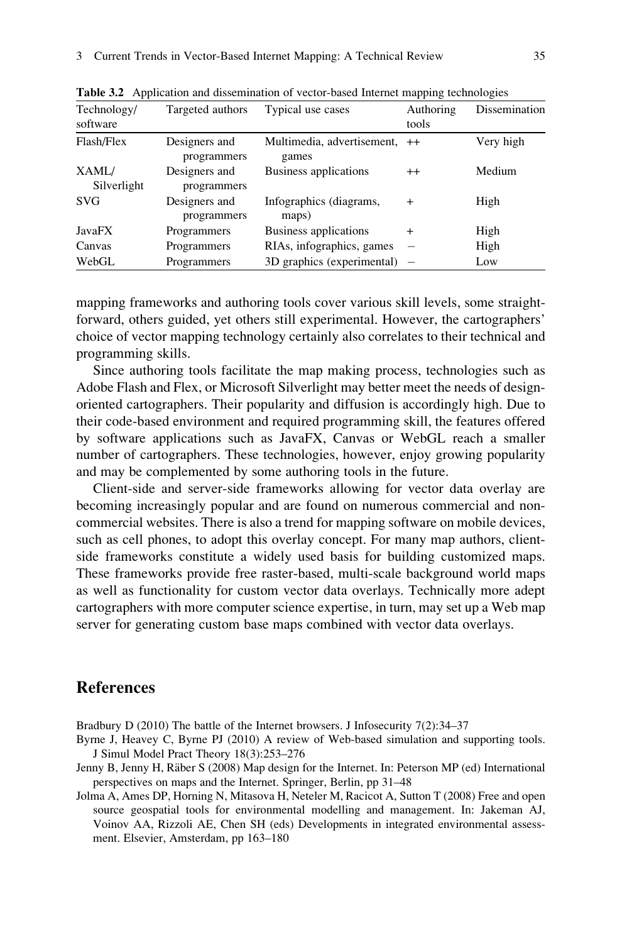| Technology/<br>software | Targeted authors             | Typical use cases                      | Authoring<br>tools       | Dissemination |
|-------------------------|------------------------------|----------------------------------------|--------------------------|---------------|
| Flash/Flex              | Designers and<br>programmers | Multimedia, advertisement, ++<br>games |                          | Very high     |
| XAML/<br>Silverlight    | Designers and<br>programmers | Business applications                  | $^{++}$                  | Medium        |
| <b>SVG</b>              | Designers and<br>programmers | Infographics (diagrams,<br>maps)       | $\ddot{}$                | High          |
| JavaFX                  | Programmers                  | Business applications                  | $\ddot{}$                | High          |
| Canvas                  | <b>Programmers</b>           | RIAs, infographics, games              |                          | High          |
| WebGL                   | Programmers                  | 3D graphics (experimental)             | $\overline{\phantom{0}}$ | Low           |

<span id="page-12-0"></span>Table 3.2 Application and dissemination of vector-based Internet mapping technologies

mapping frameworks and authoring tools cover various skill levels, some straightforward, others guided, yet others still experimental. However, the cartographers' choice of vector mapping technology certainly also correlates to their technical and programming skills.

Since authoring tools facilitate the map making process, technologies such as Adobe Flash and Flex, or Microsoft Silverlight may better meet the needs of designoriented cartographers. Their popularity and diffusion is accordingly high. Due to their code-based environment and required programming skill, the features offered by software applications such as JavaFX, Canvas or WebGL reach a smaller number of cartographers. These technologies, however, enjoy growing popularity and may be complemented by some authoring tools in the future.

Client-side and server-side frameworks allowing for vector data overlay are becoming increasingly popular and are found on numerous commercial and noncommercial websites. There is also a trend for mapping software on mobile devices, such as cell phones, to adopt this overlay concept. For many map authors, clientside frameworks constitute a widely used basis for building customized maps. These frameworks provide free raster-based, multi-scale background world maps as well as functionality for custom vector data overlays. Technically more adept cartographers with more computer science expertise, in turn, may set up a Web map server for generating custom base maps combined with vector data overlays.

# References

Bradbury D (2010) The battle of the Internet browsers. J Infosecurity 7(2):34–37

- Byrne J, Heavey C, Byrne PJ (2010) A review of Web-based simulation and supporting tools. J Simul Model Pract Theory 18(3):253–276
- Jenny B, Jenny H, R€aber S (2008) Map design for the Internet. In: Peterson MP (ed) International perspectives on maps and the Internet. Springer, Berlin, pp 31–48
- Jolma A, Ames DP, Horning N, Mitasova H, Neteler M, Racicot A, Sutton T (2008) Free and open source geospatial tools for environmental modelling and management. In: Jakeman AJ, Voinov AA, Rizzoli AE, Chen SH (eds) Developments in integrated environmental assessment. Elsevier, Amsterdam, pp 163–180